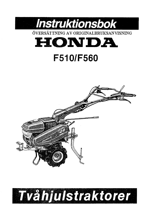

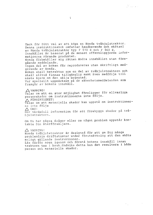Tack för Ditt val av att köpa en Honda tvåhjulstraktor. Denna instruktionsbok omfattar handhavande och skötsel av Honda tvåhjulstraktor typ F 510 S och F 560 S.<br>Innehållet är baserat på de senast offentliggjorda informatioerna rörande produkten. Honda förbehåller sig rätten ändra innehållet utan föregående meddelande. Ingen del av boken får reproduceras utan skriftligt medgivande av Honda. Boken skall betraktas som en del av tvåhjulstraktorn och skall alltid finnas tillgänglig samt även medfölja till nästa ägare om den säljs begagnad. Var speciellt uppmärksam på de säkerhetsmeddelanden som framgår av bokens innehåll.

1

i Argentina<br>Andre Seach (1960) en

 $\triangle$  VARNING! Talar om att en stor möjlighet föreligger för allvarliga personskador om instruktionerna inte följs. A FÖRSIKTIGHET!<br>Talar om att materiella skador kan uppstå om instruktionerna inte följs  $\triangle$  OBS! Ger värdefull information för att förebygga skador på tvåhjulstraktorn.

Om Du har några frågor eller om något problem uppstår kontakta Din återförsäljare.

 $\triangle$  VARNING! Honda tvåhjulstraktor är designad för att ge Dig många problemfria driftstimmar under förutsättning att den sköts enligt gällande instruktioner. Läs därför noga igenom och förstå bokens innehåll innan traktorn tas i bruk. Undviks detta kan det resultera i både person och materiella skador.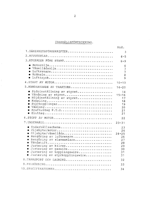## INNEHÅLLSFÖRTECKNING.

 $\hat{\mathcal{A}}$ 

|                                                                                                                                                                                                                                                                            | Sid.                                                            |
|----------------------------------------------------------------------------------------------------------------------------------------------------------------------------------------------------------------------------------------------------------------------------|-----------------------------------------------------------------|
| 1. SÄKERHETSFÖRESKRIFTER                                                                                                                                                                                                                                                   | 3                                                               |
|                                                                                                                                                                                                                                                                            | $4 - 5$                                                         |
| 3.ATGÄRDER FÖRE START                                                                                                                                                                                                                                                      | $6 - 9$                                                         |
| . Motorolja<br>· Växellådsolja<br>Lufttryck                                                                                                                                                                                                                                | 6<br>$\overline{7}$<br>7<br>8<br>9                              |
| 4. START AV MOTOR                                                                                                                                                                                                                                                          | $10 - 13$                                                       |
| 5. HANDHAVANDE AV TRAKTORN                                                                                                                                                                                                                                                 | $14 - 20$                                                       |
| · Sidoinställning av styret<br>Vändning av styret<br>Höjdinställning av styret<br>۰<br>Koppling<br>Styrkopplingar<br>$\bullet$<br>$\bullet$<br>Kraftuttag P.T.O<br>$\bullet$<br>$\bullet$                                                                                  | 14<br>$15 - 16$<br>17<br>18<br>19<br>20<br>21<br>21             |
| 6.STOPP AV MOTOR                                                                                                                                                                                                                                                           | 22                                                              |
|                                                                                                                                                                                                                                                                            | $23 - 31$                                                       |
| · Underhållsschema<br>· Oljebyte/motor<br>· Oljebyte/växellåda<br>· Rengöring av luftrenare<br>Rengöring av slamsamlare<br>$\bullet$<br>· Tändstift<br>· Justering av kilrep<br>· Justering av gaswire<br>· Justering av kopplingswire<br>· Justering av styrkopplingswire | 23<br>24<br>$24 - 25$<br>26<br>27<br>28<br>29<br>30<br>31<br>31 |
| 8. TRANSPORT OCH LAGRING                                                                                                                                                                                                                                                   | 32                                                              |
|                                                                                                                                                                                                                                                                            | 33                                                              |
| 10.SPECIFIKATIONER                                                                                                                                                                                                                                                         | 34                                                              |

 $\mathcal{L}_{\text{max}}$ 

 $\overline{2}$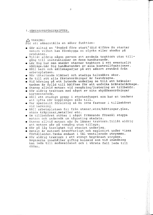1. SÄKERHETSFÖRESKRIFTER.

A VARNING!

För att säkerställa en säker funktion:

- · Gör alltid en "åtgärd före start" (Sid 6) före Du startar motorn vilket kan förebygga en olycka eller skador på produkten.
- . Tillåt aldrig någon person att använda traktorn utan tillgång till instruktioner om dess handhavande.
- De Lär Dig hur man snabbt stannar traktorn i ett eventuellt nödläge. Lär Dig handhavandet av alla kontrollfunktioner.
- . Håll barn och sällskapsdjur på ett säkert avstånd från arbetsplatsen.
- · Bär tätsitande klädsel och stadiga halksäkra skor.
- · Se till att alla fästanordningar är fastdragna.
- · Vid körning på ett lutande underlag se till att bränsletanken är fylld till hälften för att undvika bränsleläckage.
- · Stanna alltid motorn vid rengöring/justering av tillbehör.
- . Kör aldrig traktorn med något av sina skyddsanordningar bortmonterade.
- · Håll ett stadigt grepp i styrhandtaget som har en tendens att lyfta när kopplingen slås till.
- Var speciellt försiktig så Du inte fastnar i tillbehöret vid backning.
- · Håll arbetsplatsen fri från stenar, wire/kättingar, glas, stora träpinnar, metaller etc.
- . Om tillbehöret stöter i något främmande föremål stoppa motorn och undersök om någonting skadats.
- · Stanna alltid motorn när Du lämnar traktorn. Tillåt aldrig att motorn går på tomgång utan tillsyn.
- . Kör på låg hastighet vid stenigt underlag.
- · Bensin är extremt brandfarligt och explosivt under vissa förhållanden. Tanka endast i väl ventilerade utrymmen.
- . Kör aldrig traktorn i ett stängt begränsat utrymme. Avgaserna innehåller giftig koloxid som vid inandning kan leda till medveslöshet och i värsta fall leda till döden.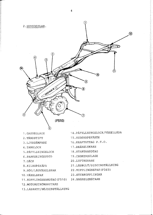

- 1. GASREGLAGE
- 2. TÄNDSTIFT
- 3.LJUDDÄMPARE
- 4. TANKLOCK
- 5. PÅFYLLNINGSLOCK
- 6. PARKERINGSSTÖD
- 7 DACK
- 8.KILREPSKÅPA
- 9. HÖG/LÅGVÄXELSPAK
- 10. VÄXELSPAK
- 11. KOPPLINGSHANDTAG (F510) 24. BRANSLEMÄTARE
- 12. MOTORSTRÖMBRYTARE
- 13.LASRATT/HÖJDINSTÄLLNING
- 14. PAFYLLNINGSLOCK/VÄXELLÅDA
- 15.REDSKAPSFÄSTE
- 16. KRAFTUTTAG P.T.O.
- 17. BRÄNSLEKRAN
- 18. STARTHANDTAG
- 19. CHOKEREGLAGE
- 20.LUFTRENARE
- 21.LASBULT/SIDOINSTÄLLNING
- 22. KOPPLINGSSPAK (F560)
- 23. STYRKOPPLINGAR
-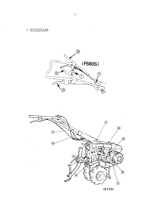$\Delta \phi = 0.01$ 



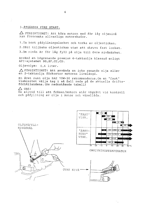3. ÅTGÄRDER FÖRE START.

 $\triangle$  FÖRSIKTIGHET! Att köra motorn med för låg oljenivå kan förorsaka allvarliga motorskador.

1. Ta bort påfyllningslocket och torka av oljestickan.

2. Sätt tillbaka oljestickan utan att skruva fast locket.

3.0m nivån är för låg fyll på olja till övre nivåmärket.

Använd en högrenande premium 4-taktsolja klassad enligt API-systemet SG, SF, CC, CD.

Oljevolym: 0,6 liter.

A FÖRSIKTIGHET! Att använda en icke renande olja eller en 2-taktsolja förkortar motorns livslängd.

En året runt olja SAE 10W-30 rekommenderas. Om en "fast" viskositet väljs tag i så fall reda på de aktuella driftsförhållandena. (Se nednstående tabell)

 $\triangle$  OBS!

 $\frac{1}{\sqrt{2}}$ 

Se alltid till att fräsen/motorn står vägrätt vid kontroll och påfyllning av olja i motor och växellåda.

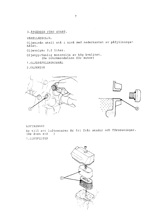3. ATGÄRDER FÖRE START.

VÄXELLÅDSOLJA.

Oljenivån skall stå i nivå med nederkanten av påfyllningshålet.

Oljevolym: 2,2 liter.

Oljetyp: Vanlig motorolja av hög kvalitet.<br>(Se rekommendation för motor)

1. OLJEPÅFYLLNINGSHÅL

2. OLJENIVÅ



#### LUFTRENARE

Se till att luftrenaren är fri från skador och föroreningar. (Se även sid  $\rightarrow$ 

1. LUFTFILTER

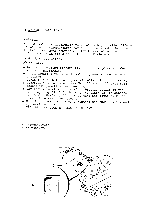## 3. ATGARDER FÖRE START.

BRÄNSLE.

Använd vanlig regularbensin 95-98 oktan. Blyfri eller "låg"blyad bensin rekommenderas för att minimera sotuppbyggnad. Använd aldrig 2-taktsbränsle eller förorenad bensin. Undvik att få in smuts och vatten i bränsletanken.

Tankvolym: 3,0 liter.

 $\triangle$  VARNING!

- · Bensin är extremt brandfarligt och kan explodera under vissa förhållanden.
- · Tanka endast i väl ventilerade utrymmen och med motorn avstängd.
- Tanka ej i närheten av öppen eld eller när någon röker. · Överfyll inte bränsletanken. Se till att tanklocket blir ordentligt påsatt efter tankning.
- · Var försiktig så att inte något bränsle spills ut vid tankning. Utspillt bränsle eller bensinångor kan antändas. Om något bränsle spillts ut se till att detta blir upptorkat före start av motorn.
- · Undvik att bränsle kommer i kontakt med huden samt inandas ej bensinångorna. HALL BRÄNSLE UTOM RÄCKHÄLL FRÅN BARN!

1. BRÄNSLEMÄTARE 2.BRANSLENIVA

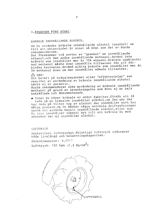### 3. ATGÄRDER FÖRE START.

## BRÄNSLE INNEHÅLLANDE ALKOHOL.

Om Du använder bränsle innehållande alkohol (gasohol) se till att oktanvärdet är minst så högt som det av Honda rekommenderade.

Det förekommer två sorter av "gasohol" en innehållande ethanol, och den andra innehållende methanol. Använd inte bränsle som innehåller mer än 10% ethanol. Bränsle uppblandat med methanol måste även innehålla tillsatser för att förhindra korrosion. Använd aldrig bränsle som innehåller mer än 5% methanol även om den innehåller nämnda tillsatser.

#### $\triangle$  OBS!

Ett haveri på bränslesystemet eller "effektproblem" som resultat av användning av bränsle innehållande alkohol täcks ej av garantin.

Honda rekommenderar inte användning av bränsle innehållande methanol på grund av inverkningarna som ännu ej är helt bekräftade och dokumenterade.

. Innan Du köper bränsle av okänt fabrikat, försök att få reda på om bränslet innehåller alkohol, om den gör det tag reda på vilken typ av alkohol den innehåller samt hur många procent. Om Du märker några onormala driftstörningar genom att använda bensin innehållande alkohol, eller som Du tror innehåller alkohol byt till ett bränsle Du med säkerhet vet ej innehåller alkohol.

#### LUFTTRYCK

Kontrollera lufttrycket. Felaktigt lufttryck reducerar både livslängd och belastningskapacitet.

Däcksdimension: 4,00-7

Lufttryck: 120 kpa  $(1, 2 \text{ Kg/cm}^2)$ 

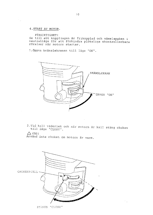4. START AV MOTOR.

FÖRSIKTIGHET!

Se till att kopplingen är frikopplad och växelspaken i neutralläge för att förhindra plötsliga okontrollerbara röralser när motorn startar.

1. Öppna bränslekranen till läge "ON".



2.Vid kall väderlek och när motorn är kall stäng choken till läge "CLOSE".

## $\triangle$  OBS!

Använd inte choken om motorn är varm.



STÄNGD "CLOSE"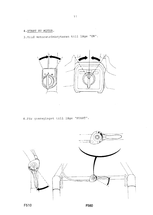4. START AV MOTOR.

 $\sim$   $\sim$ 

3. Vrid motorströmbrytaren till läge "ON".



 $\chi^2/\chi^2$ 

4. För gasreglaget till läge "START".



F560

 $\label{eq:2.1} \begin{split} \mathcal{L}_{\text{max}}(\mathcal{L}_{\text{max}}) = \mathcal{L}_{\text{max}}(\mathcal{L}_{\text{max}}) \mathcal{L}_{\text{max}}(\mathcal{L}_{\text{max}}) \mathcal{L}_{\text{max}}(\mathcal{L}_{\text{max}}) \mathcal{L}_{\text{max}}(\mathcal{L}_{\text{max}}) \mathcal{L}_{\text{max}}(\mathcal{L}_{\text{max}}) \mathcal{L}_{\text{max}}(\mathcal{L}_{\text{max}}) \mathcal{L}_{\text{max}}(\mathcal{L}_{\text{max}}) \mathcal{L}_{\text{max}}(\mathcal{L}_{\text{max$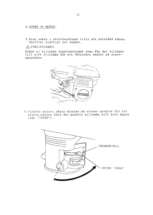4.START AV MOTOR.  $\sim 10^{-1}$ 

5. Drag sakta i starthandtaget tills ett motstånd känns, därefter kraftigt och snabbt.

### $\triangle$  FÖRSIKTIGHET!

Släpp ej tillbaka starthandtaget utan för det tillbaka<br>till sitt viloläge för att förhindra skador på startapparaten.



6.Varmkör motorn några minuter. Om choken använts för att starta motorn förs den gradvis tillbaka till sitt öppna läge ("OPEN").

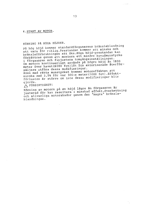4. START AV MOTOR.

KÖRNING PÅ HÖGA HÖJDER.

På hög höjd kommer standardförgasarens bränsleblandning att vara för riklig. Prestandan kommer att minska och bränsleförbrukningen att öka. Höga höjd-prestandan kan förbättras genom att montera ett mindre huvudmunstycke i förgasaren och finjustera tomgångsinställningen. Om motorn kontinuerligt används på högre höjd än 1800 meter över havet (6000 fot) låt Din aktoriserade återförsäljare utföra dessa modifieringar.

Även med rätta munstycket kommer motoreffekten att minska med 3,5% för var 300:e meter (1000 fot). Effektförlusten är större om inte dessa modifieringar blir gjorda.

A FÖRSIKTIGHET!

Körning av motorn på en höjd lägre än förgasaren är justerad för kan resultera i minskad effekt, överhettning och allvarliga motorskador genom den "magra" bränsleblandningen.

 $\hat{\tau}_1$  ,  $\hat{\tau}_2$  , and therefore  $\hat{\tau}_1$  ,  $\hat{\tau}_2$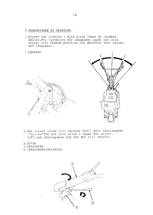1. Styret kan vinklas i fyra olika lägen åt vardera hållet. För justering för låsspaken uppåt och vrid<br>styret till önskad position. Dra därefter fast styret med låsspaken.

1.LASSPAK





- 2. När styret vrids till vänster skall även växelspaken "flyttas"för att inte sitta i vägen för styret. Lyft upp växelspaken och för den till vänster.
- 2.STYRE
- 3. VAXELSPAK
- 4. VÄXELLÄGESINDIKATOR

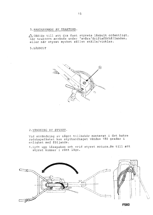$\triangle$  OBS!Se till att dra fast styrets låsbult ordentligt, när traktorn används under "svåra"driftsförhållanden, eller när styret mycket sällan ställs/vinklas.

5.LÅSBULT



### 2. VÄNDNING AV STYRET.

Vid användning av något tillbehör monterat i det bakre<br>redskapsfästet kan styrhandtaget vändas 180 grader i enlighet med följande.

1. Lyft upp låsspaken och vrid styret moturs. Se till att styret kommer i rätt läge.

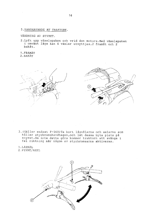VÄNDNING AV STYRET.

2. Lyft upp växelspaken och vrid den moturs. Med växelspaken i omvänt läge kan 4 växlar utnyttjas, 2 framåt och 2 bakåt.

1. FRAMÅT

2. BAKAT





3. (Gäller endast F-560) Ta bort låsnålarna och axlarna som<br>håller styrbromshandtagen, och låt dessa byta plats på styret. Om inte detta görs kommer traktorn att svänga i fel riktning när någon av styrbromsarna aktiveras.

1.LASNAL 2. PINNE/AXEL



16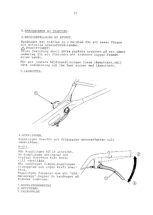3. HÖJDINSTÄLLNING AV STYRET.

Handtaget kan ställas in i höjdled för att passa förare och aktuella arbetsförhållanden. A FÖRSIKTIGHET! Innan justering skall göras parkera traktorn på ett jämnt

underlag för att förhindra att traktorn tippar framåt eller bakåt.

För att justera höjdinställningen lossa låsmuttern, välj rätt inställning och lås fast styret med låsmuttern.

1. LÅSMUTTER.



4. KOPPLINGEN.

Kopplingen överför och frikopplar motoreffekten till växellådan.

 $F - 510$ .

När kopplingen hålls intryckt, är kopplingen aktiverad och kraften överförs från motor till växellåda. När handtaget släpps, kopplingen frikopplad och ingen kraft överfors. Kopplingen fungerar som ett "dödmansgrepp", tappar Du handtaget så stannar traktorn.

1. KOPPLINGSHANDTAG 2. AKTIVERAD 3. FRIKOPPLAD

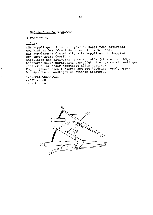4. KOPPLINGEN.

 $F - 560.$ 

När kopplingen hålls nertryckt är kopplingen aktiverad och kraften överförs från motor till växellåda. När kopplingshandtaget släpps, är kopplingen frikopplad och ingen kraft överförs. Kopplingen kan aktiveras genom att båda (vänster och höger) handtagen hålls nertryckta samtidigt eller genom att antingen vänster eller höger handtaget hålls nertryckt.<br>Kopplingshandtagen fungerar som ett "dödmansgrepp", tappar Du något/båda handtagen så stannar traktorn.

1. KOPPLINGSHANDTAG 2. AKTIVERAD 3. FRIKOPPLAD

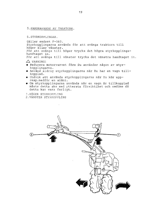5.STYRKOPPLINGAR.

Gäller endast F-560. Styrkopplingarna används för att svänga traktorn till höger eller vänster. För att svänga till höger trycks det högra styrkopplingshandtaget in. För att svänga till vänster trycks det vänstra handtaget in.  $\triangle$  VARNING!

- · Reducera motorvarvet före Du använder någon av styrkopplingarna.
- · Använd aldrig styrkopplingarna när Du har en vagn tillkopplad.
- · Undvik att använda styrkopplingarna när Du kör uppresp.nedför en slänt.
- · Om styrkopplingarna används när en vagn är tillkopplad måste detta ske med yttersta försiktihet och omdöme då detta kan vara farligt.
- 1. HÖGER STYRKOPPLING

2. VÄNSTER STYRKOPPLING

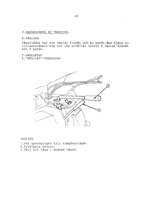6. VÄXLING

Växellådan har tre växlar framåt och en bakåt. Med hjälp av tillsatsväxeln hög och låg erhålles totalt 6 växlar framåt och 2 bakåt.

3. VÄXELSPAK

4. "HÖG/LÅG"-VÄXELSPAK



VÄXLING

1. För gasreglaget till tomgångsläget. 2. Frikoppla motorn. 3. Välj och lägg i önskad växel.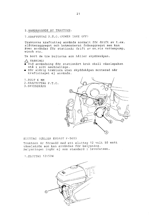7. KRAFTUTTAG P.T.O. (POWER TAKE OFF)

Traktorns kraftuttag används normalt för drift av t.ex. slåtteraggregat och bakmonterat fräsaggregat men kan även användas för stationär drift av ex.vis vattenpump, winch etc.

Ta bort de tre bultarna som håller skyddskåpan.

 $\land$  VARNING!

- · Vid användning för stationärt bruk skall växelspaken stå i sitt neutralläge.
- · Kör aldrig traktorn utan skyddskåpan monterad när kraftuttaget ej används.

1.BULT 6 MM 2.KRAFTUTTAG P.T.O. 3. SKYDDSKÅPA



ELUTTAG (GÄLLER ENDAST F-560)

Traktorn är försedd med ett eluttag 12 volt 50 watt växelström som kan användas för belysning. Belysningen ingår ej som standard i leveransen.

1.ELUTTAG 12V50W

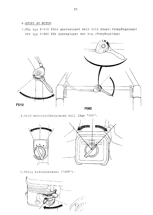- 6.STOPP AV MOTOR.
- 1. För typ F-510 förs gasreglaget helt till höger. (Tomgångsläge) För typ F-560 för gasreglaget mot Dig. (Tomgångsläge)



2. Vrid motorströmbrytaren till läge "OFF".



3. Stäng bränslekranen ("OFF").

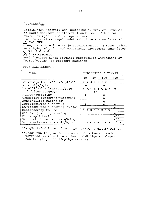Regelbunden kontroll och justering av traktorn innebär de bästa tänkbara driftsförhållanden och förhindrar att småfel övergår i större reparationer.

Sköt om maskinen regelbundet enligt nedanstående tabell.  $\triangle$  VARNING!

Stäng av motorn före varje serviceingrepp. Om motorn måste vara igång sörj för god ventilation. Avgaserna innehåller giftig koloxid.

 $\triangle$  FÖRSIKTIGHET!

Använd endast Honda original reservdelar. Användning av "pirat"-delar kan förstöra maskinen.

UNDERHÅLLSSCHEMA.

| ATGARD                          | TIDSPERIOD I TIMMAR               |  |
|---------------------------------|-----------------------------------|--|
|                                 | 50 100<br>20<br>300               |  |
| Motorolja kontroll och påfylln. | DAGLIGEN                          |  |
| Motorolja/byte                  | ●                                 |  |
| Växellådsolja kontroll/byte     | G E N<br>AGLI<br>D                |  |
| Luftfilter rengöring            | $\bullet^{\star}$                 |  |
| Kilrep/justering                | $\bullet$                         |  |
| Tändstift rengöring/justering   |                                   |  |
| Bensinfilter rengöring          |                                   |  |
| Kopplingswire justering         | e                                 |  |
| Styrbromswire justering (F-560) |                                   |  |
| Dödmansgrepp kontroll           | IGEN<br>A<br>D<br>G<br>Ŀ          |  |
| Gasreglagewire justering        | ۰                                 |  |
| Ventilspel kontroll             | .**                               |  |
| Bränsletank med sil rengöring   | $e^{**}$                          |  |
| Bränsleslangar kontroll/byte    | R<br>Α<br>N<br>Α<br>T<br>- P<br>N |  |

\*Rengör luftfiltret oftare vid körning i dammig miljö.

\*\*Dessa punkter bör servas av en aktoriserad Honda verkstad om inte föraren har nödvändiga kunskaper och tillgång till lämpliga verktyg.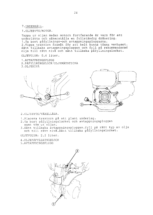1. OLJEBYTE/MOTOR.

Tappa ur oljan medan motorn fortfarande är varm för att underlätta och säkerställa en fullständig dränering. 1. Ta bort påfyllnings-och avtappningspluggarna. 2. Tippa traktorn framåt för att helt kunna tömma vevhuset. Sätt tillbaka avtappningspluggen och fyll på rekommenderad olja till rätt nivå och sätt tillbaka påfyllningslocket.

OLJEVOLYM: 0,6 liter.

1. AVTAPPNINGSPLUGG 2. PÅFYLLNINGSLOCK/OLJEMÄTSTICKA 3. OLJENIVÅ





2. OLJEBYTE/VÄXELLÅDA.

1. Placera traktorn på ett plant underlag.

- 2. Ta bort påfyllningslocket och avtappningspluggen samt töm ut oljan.
- 3. Sätt tillbaka avtappningspluggen. Fyll på rätt typ av olja och till rätt nivå. Sätt tillbaka påfyllningslocket.

OLJEVOLYM: 2,2 liter.

- 4. OLJEPÅFYLLNINGSLOCK
- 5.AVTAPPNINGSPLUGG

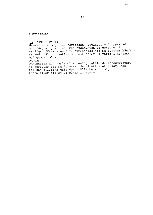$\triangle$  FÖRSIKTIGHET! Gammal motorolja kan förorsaka hudcancer vid upprepad och långvarig kontakt med huden. Även om detta ej är vanligen förekommande rekommenderas att Du tvättar händerna med tvål och vatten snarast efter Du varit i kontakt med gammal olja.  $\triangle$  OBS!

Omhänderta den gamla oljan enligt gällande föreskrifter. Vi föreslår att Du förvarar den i ett slutet kärl och för den tillbaka till det ställe Du köpt oljan. Kasta eller slå ej ut oljan i naturen.

 $\mathcal{L}_{\mathcal{A}}$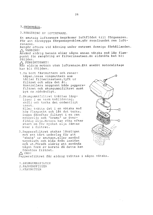3.RENGÖRING AV LUFTRENARE.

En smutsig luftrenare begränsar luftflödet till förgasaren. För att förebygga förgasarproblem, gör regelbundet ren luftrenaren.

Rengör oftare vid körning under extremt dammiga förhållanden.  $\triangle$  VARNING!

Använd aldrig bensin eller någon annan vätska med låg flampunkt för rengöring av filterinsatsen. En eldsvåda kan bli följden.

 $\triangle$  FÖRSIKTIGHET!

Kör aldrig motorn utan luftrenare. Ett snabbt motorslitage kan bli följden.

- 1. Ta bort fästmuttern och renarkåpan, lossa vingmuttern som håller filterinsatsen, lyft ur filtret och sära det åt. Kontrollera noggrant både pappersfiltret och skumgummifiltret samt byt om nödvändigt.
- 2. Skumqummifiltret tvättas lämpligen i en varm tvållösning, skölj och torka det ordentligt torrt. Eller tvätta det i en vätska med hög flampunkt och låt det torka. Doppa därefter filtret i en ren motorolja och "krama" ur överflödig olja. Motorn kan röka efter start om för mycket olja lämnas. kvar i filtret.
- 3. Pappersfiltret skakas lämpligen mot ett hårt underlag för att "skaka" ur smutsen, eller använd tryckluft och blås från insidan och ut. Försök aldrig att använda någon form av borste då detta kan förstöra filtret.  $\wedge$  OBS!



Pappersfiltret får aldrig tvättas i någon vätska.

1. SKUMGUMMIFILTER 2. PAPPERSFILTER

3. FÄSTMUTTER

26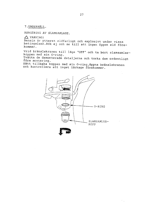RENGÖRING AV SLAMSAMLARE.

 $\triangle$  VARNING!

Bensin är ytterst eldfarligt och explosivt under vissa betingelser. Rök ej och se till att ingen öppen eld förekommer.

Vrid bränslekranen till läge "OFF" och ta bort slamsamlarkoppen med sin O-ring.

Tvätta de demonterade detaljerna och torka dem ordentligt före montering.

Sätt tillbaka koppen med sin O-ring, öppna bränslekranen och kontrollera att inget läckage förekommer.

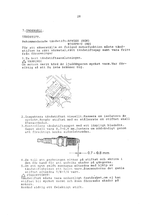TÄNDSTIFT.

Rekommenderade tändstift: BPR5ES (NGK)

 $W16EPR-U (ND)$ 

För att säkerställa en fullgod motorfunktion måste tändstiftet ha rätt värmetal, rätt tändstiftsgap samt vara fritt från föroreningar

1. Ta bort tändstiftsanslutningen.  $\triangle$  VARNING! Om motorn varit körd är ljuddämparen mycket varm. Var försiktig så att Du inte bränner Dig.



- 2. Inspektera tändstiftet visuellt. Kassera om isolatorn är spräckt. Rengör stiftet med en stålborste om stiftet skall återanvändas.
- 3. Kontrollera tändstiftsgapet med ett lämpligt bladmått. Gapet skall vara 0,7-0,8 mm. Justera om nödvändigt genom att försiktigt bocka sidoelektroden.



- 4. Se till att packningen sitter på stiftet och skruva i det för hand för att undvika skador på gängorna.
- 5. Om ett nytt stift monteras efterdra med hjälp av tändstiftshylsan ett halvt varv. Atermonteras det gamla stiftet efterdra 1/8-1/4 varv.

 $\triangle$  FÖRSIKTIGHET!

Tändstiftet måste vara ordentligt fastdraget, om ej kan stiftet bli mycket varmt och även förorsaka skador på motorn.

Använd aldrig ett felaktigt stift.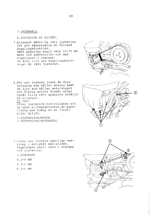6.JUSTERING AV KILREP.

1. Kilrepet måste ha rätt justering för att säkerställa en fullgod kopplingsfunktion. Rätt spänning skall vara 65-70 mm mätt vid spännrullen och med kopplingen i ingrepp. Se även till att kopplingshandtaget är rätt justerat.



2. För att justera lossa de fyra bultarna som håller motorn samt de fyra som håller motorstaget och flytta motorn framåt eller bakåt tills rätt spänning erhålls på kilrepet.  $\triangle$  OBS! Efter justering kontrolleras att de båda kilrepsskivorna är parallella med hjälp av en linjal eller dylikt.

1. FÄSTBULTAR/MOTOR 2. FÄSTBULTAR/MOTORSTAG



- 3. Lossa och justera samtliga remstopp i enlighet med bilden. Kopplingen skall vara i ingrepp vid justering.
	- 3.REMSTOPP
	- $4.2 4$  MM
	- $5.3 4$  MM
	- $6.2 4$  MM

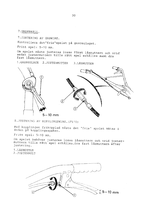7. JUSTERING AV GASWIRE.

Kontrollera det"fria"spelet på gasreglaget.

Fritt spel: 5-10 mm.

Om spelet måste justeras lossa först låsmuttern och vrid sedan justermuttern tills rätt spel erhålles samt dra fast låsmuttern.

1. GASREGLAGE 2. JUSTERMUTTER 3.LASMUTTER



8. JUSTERING AV KOPPLINGSWIRE. (F510)

Med kopplingen frikopplad måste det "fria" spelet mätas i änden på kopplingsspaken.

Fritt spel: 5-10 mm.

Om spelet behöver justeras lossa låsmuttern och vrid justermuttern tills rätt spel erhålles. Dra fast låsmuttern efter justering.

1. LASMUTTER 2. JUSTERBULT

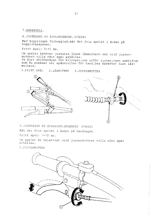8. JUSTERING AV KOPLINGSWIRE. (F560S)

Med kopplingen frikopplad, mät det fria spelet i änden på kopplingsspaken.

Fritt spel: 5-10 mm.

Om spelet behöver justeras lossa låsmuttern och vrid justermuttern tills rätt spel erhålles. Ta bort skyddskåpan för kilrepet, och utför justeringen samtidigt som Du pressar ner spännrullen för hand. Dra därefter fast låsmuttern.

1. FRITT SPEL 2.LASMUTTER 3. JUSTERMUTTER





9. JUSTERING AV STYRKOPPLINGSWIRE (F560S) Mät det fria spelet i änden på handtaget. Fritt spel: 7-10 mm.

Om spelet är felaktigt vrid justermuttern tills rätt spel erhålles.

1. JUSTERMUTTER

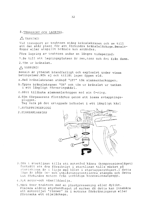## 8. TRANSPORT OCH LAGRING.

### $\triangle$  VARNING!

Vid transport av traktorn stäng bränslekranen och se till att den står plant för att förhindra bränsleläckage.Bensinångor eller utspillt bränsle kan antändas.

Före lagring av traktorn under en längre tidsperiod:

1. Se till att lagringsplatsen är ren, torr och fri från damm. 2. Töm ur bränslet.

 $\land$  VARNING!

Bensin är ytterst brandfarligt och explosivt under vissa betingelser. Rök ej och tillåt ingen öppen eld.

- a. Med bränslekranen atängd "OFF" töm slamsamlarkoppen.
- b.Öppna bränslekranen "ON" och töm ur bränslet ur tanken i ett lämpligt förvaringskärl.
- c. Sätt tillbaka slamsamlarkoppen med sin O-ring.
- d. Töm förgasarens flottörhus genom att lossa avtappningspluggen.

Tag vara på det urtappade bränslet i ett lämpligt kärl

- 1. AVTAPPNINGSPLUGG
- 2. SLAMSAMLARKOPP



- 3.Dra i startlinan tills ett motstånd känns (kompressionsläget) Fortsätt att dra försiktigt i startlinan tills märket på startskivan är i linje med hålet i startapparathuset. I detta läge är både in- och utblåsningsventilerna stängda och detta kan förhindra motorn från invändiga korrosionsangrepp.
- 4. Byt motor-och växellådsolja.
- 5. Täck över traktorn med en plastpressening eller dylikt. Placera aldrig styrhandtaget på marken då detta kan innebära att motoroljan "rinner" in i motorns förbränningsrum eller förorsaka ett oljeläckage.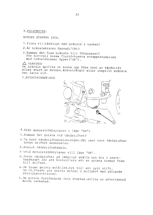9. FELSÖKNING.

MOTORN STARTAR INTE.

- 1. Finns tillräckligt med bränsle i tanken?
- 2.Är bränslekranen öppnad ("ON)?
- 3. Kommer det fram bränsle till förgasaren? För kontroll lossa flottörhusets avtappningsplugg med bränslekranen öppen("ON").

 $\triangle$  VARNING!

Om bränsle spillts ut torka upp före test av tändstift eller start av motorn. Bränsleångor eller utspillt bränsle kan fatta eld.

1. AVTAPPNINGSPLUGG



- 4. Står motorströmbrytaren i läge "ON"?
- 5. Kommer det gnista vid tändstiftet?
- a. Ta bort tändstiftsanslutningen. Gör rent runt tändstiftet innan stiftet demonteras.
- b.Anslut tändstiftskabeln.
- c. Vrid motorströmbrytaren till läge "ON".
- d.Jorda tändstiftet på lämpligt ställe och dra i starthandtaget för att kontrollera att en gnista kommer fram till stiftet.
- e.Om ingen gnista erhålles, byt till ett nytt stift. Om OK, försök att starta motorn i enlighet med gällande startinstruktioner.
- 6.Om motorn fortfarande inte startar, anlita en aktoriserad Honda verkstad.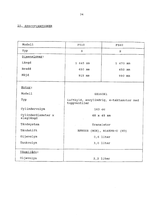## 10. SPECIFIKATIONER

à,

| F510                                                    | F560     |  |
|---------------------------------------------------------|----------|--|
| $\mathsf{S}$                                            | S        |  |
|                                                         |          |  |
| 1 645 mm                                                | 1 670 mm |  |
| 650 mm                                                  | 650 mm   |  |
| 915 mm                                                  | 990 mm   |  |
|                                                         |          |  |
| GX160K1                                                 |          |  |
| Luftkyld, encylindrig, 4-taktsmotor med<br>toppventiler |          |  |
| 163 cc                                                  |          |  |
| 68 x 45 mm                                              |          |  |
| Transistor                                              |          |  |
| BPR5ES (NGK), W16EPR-U (ND)                             |          |  |
| $0,6$ liter                                             |          |  |
| $3,0$ liter                                             |          |  |
|                                                         |          |  |
| $2, 2$ liter                                            |          |  |
|                                                         |          |  |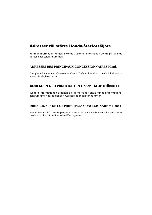## **Adresser till större Honda-återförsäljare**

För mer information, kontakta Honda Customer Information Centre på följande adress eller telefonnummer:

### **ADRESSES DES PRINCIPAUX CONCESSIONNAIRES Honda**

Pour plus d'informations, s'adresser au Centre d'informations clients Honda à l'adresse ou numéro de téléphone suivants:

## **ADRESSEN DER WICHTIGSTEN Honda-HAUPTHÄNDLER**

Weitere Informationen erhalten Sie gerne vom Honda-Kundeninformationszentrum unter der folgenden Adresse oder Telefonnummer:

### **DIRECCIONES DE LOS PRINCIPLES CONCESIONARIOS Honda**

Para obtener más información, póngase en contacto con el Centro de información para clientes Honda en la dirección o número de teléfono siguientes: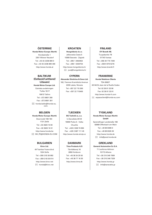### **ÖSTERRIKE**

**Honda Motor Europe (North)** Hondastraße 1 2351 Wiener Neudorf Tel: +43 (0) 2236 690 0 Fax: +43 (0) 2236 690 480 http://www.honda.at

#### **BALTIKUM (Estland/Lettland/ Litauen)**

**Honda Motor Europe Ltd.**  Estniska avdelningen Tulika 15/17 10613 Tallinn Tel: +372 6801 300 Fax: +372 6801 301  $\boxtimes$  honda.baltic@honda-eu. com.

#### **BELGIEN**

**Honda Motor Europe (North)** Doornveld 180-184 1731 Zellik Tel: +32 2620 10 00 Fax: +32 2620 10 01 http://www.honda.be BH\_PE@HONDA-EU.COM

#### **BULGARIEN**

**Kirov Ltd.** 49 Tsaritsa Yoana blvd 1324 Sofia Tel: +359 2 93 30 892 Fax: +359 2 93 30 814 http://www.kirov.net honda@kirov.net

### **KROATIEN**

**Hongoldonia d.o.o.** Jelkovecka Cesta 5 10360 Sesvete - Zagreb Tel: +385 1 2002053 Fax: +385 1 2020754 http://www.hongoldonia.hr  $\boxtimes$  jure@hongoldonia.hr

#### **CYPERN**

**Alexander Dimitriou & Sons Ltd.** 162, Yiannos Kranidiotis Avenue 2235 Latsia, Nicosia Tel: +357 22 715 300 Fax: +357 22 715400

#### **TJECKIEN**

**BG Technik cs, a.s.**  U Zavodiste 251/8 15900 Praha 5 - Velka Chuchle Tel: +420 2 838 70 850 Fax: +420 2 667 111 45 http://www.honda-stroje.cz

#### **DANMARK**

**Tima Products A/S** Tårnfalkevej 16 2650 Hvidovre Tel: +45 36 34 25 50 Fax: +45 36 77 16 30 http://www.tima.dk

#### **FINLAND**

**OY Brandt AB.** Tuupakantie 7B 01740 Vantaa Tel: +358 20 775 7200 Fax: +358 9 878 5276 http://www.brandt.fi

#### **FRANKRIKE**

**Honda Relations Clients** TSA 80627 45146 St Jean de la Ruelle Cedex Tel: 02 38 81 33 90 Fax: 02 38 81 33 91 http://www.honda-fr.com espaceclient@honda-eu.com

#### **TYSKLAND**

**Honda Motor Europe (North) GmbH** Sprendlinger Landstraße 166 63069 Offenbach am Main Tel: +49 69 8309-0 Fax: +49 69 8320 20 http://www.honda.de info@post.honda.de

#### **GREKLAND**

**General Automotive Co S.A.**  71 Leoforos Athinon 10173 Athens Tel: +30 210 349 7809 Fax: +30 210 346 7329 http://www.honda.gr  $\boxtimes$  info@saracakis.gr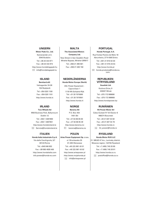Kamaraerdei ut 3. 2040 Budaörs Tel: +36 23 444 971 Fax: +36 23 444 972 http://www.hondakisgepek.hu  $\boxtimes$  info@hondakisgepek.hu

Vatnagardar 24-26 104 Reykjavik Tel: +354 520 1100 Fax: +354 520 1101 http://www.honda.is

M50 Business Park, Ballymount Dublin 12 Tel: +353 1 4381900 Fax: +353 1 4607851 http://www.hondaireland.ie  $\boxtimes$  Service@hondaireland.ie

Via della Cecchignola, 5/7 00143 Roma Tel: +848 846 632 Fax: +39 065 4928 400 http://www.hondaitalia.com info.power@honda-eu.com

**Motor Pedo Co., Ltd. The Associated Motors Company Ltd.** New Street in San Gwakkin Road Mriehel Bypass, Mriehel QRM17 Tel: +356 21 498 561 Fax: +356 21 480 150

### **ISLAND NEDERLÄNDERNA REPUBLIKEN**

**Bernhard ehf. Honda Motor Europe (North)**

Afd. Power Equipment - Capronilaan 1 1119 NN Schiphol-Rijk Tel: +31 20 7070000 Fax: +31 20 7070001 http://www.honda.nl

**Two Wheels Itd Berema AS Hit Power Motor Srl Hit Power Motor Srl** P.O. Box 454 1401 Ski Tel: +47 64 86 05 00 Fax: +47 64 86 05 49 http://www.berema.no berema@berema.no

Honda Italia Industriale S.p.A. Aries Power Equipment Sp. z o.o. | Honda Motor RUS LLC ul. Wroclawska 25 01-493 Warszawa Tel: +48 (22) 861 43 01 Fax: +48 (22) 861 43 02 http://www.ariespower.pl http://www.mojahonda.pl info@ariespower.pl

#### **UNGERN MALTA PORTUGAL**

**Honda Portugal, S.A.** Rua Fontes Pereira de Melo 16 Abrunheira, 2714-506 Sintra

Tel: +351 21 915 53 33 Fax: +351 21 915 23 54 http://www.honda.pt

honda.produtos@honda-eu. com.

# **VITRYSSLAND**

**Scanlink Ltd.** Kozlova Drive, 9 220037 Minsk Tel: +375 172 999090 Fax: +375 172 999900 http://www.hondapower.by

### **IRLAND RUMÄNIEN NORGE**

Calea Giulesti N° 6-8 Sector 6 060274 Bucuresti Tel: +40 21 637 04 58 Fax: +40 21 637 04 78 http://www.honda.ro hit\_power@honda.ro

## **ITALIEN RYSSLAND POLEN**

21. MKAD 47 km., Leninsky district. Moscow region, 142784 Ryssland Tel: +7 (495) 745 20 80 Fax: +7 (495) 745 20 81 http://www.honda.co.ru postoffice@honda.co.ru